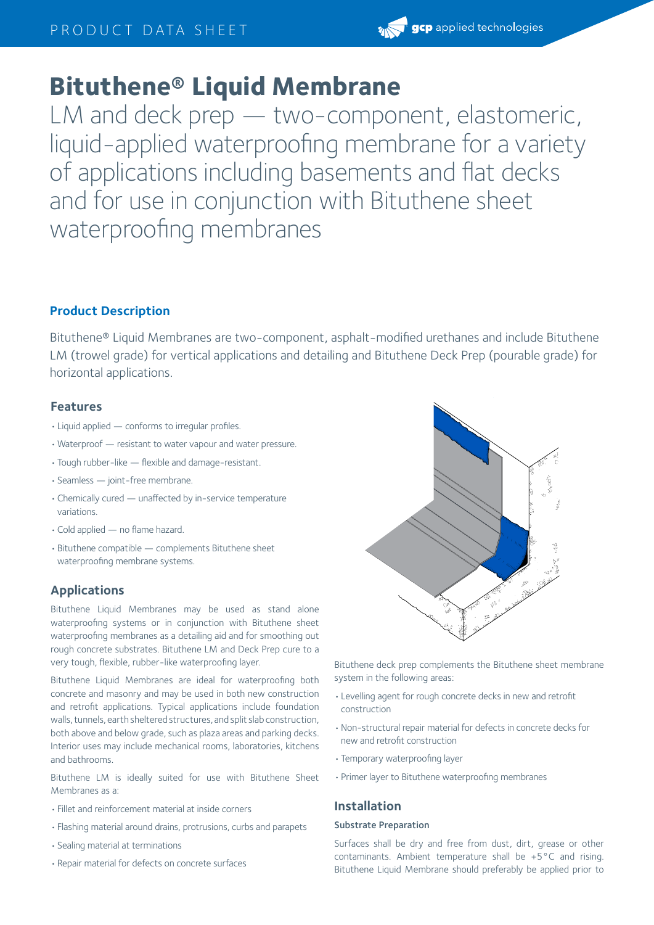# **Bituthene® Liquid Membrane**

LM and deck prep - two-component, elastomeric, liquid-applied waterproofing membrane for a variety of applications including basements and flat decks and for use in conjunction with Bituthene sheet waterproofing membranes

## **Product Description**

Bituthene® Liquid Membranes are two-component, asphalt-modified urethanes and include Bituthene LM (trowel grade) for vertical applications and detailing and Bituthene Deck Prep (pourable grade) for horizontal applications.

#### **Features**

- •Liquid applied conforms to irregular profiles.
- •Waterproof resistant to water vapour and water pressure.
- •Tough rubber-like flexible and damage-resistant.
- •Seamless joint-free membrane.
- •Chemically cured unaffected by in-service temperature variations.
- •Cold applied no flame hazard.
- •Bituthene compatible complements Bituthene sheet waterproofing membrane systems.

## **Applications**

Bituthene Liquid Membranes may be used as stand alone waterproofing systems or in conjunction with Bituthene sheet waterproofing membranes as a detailing aid and for smoothing out rough concrete substrates. Bituthene LM and Deck Prep cure to a very tough, flexible, rubber-like waterproofing layer.

Bituthene Liquid Membranes are ideal for waterproofing both concrete and masonry and may be used in both new construction and retrofit applications. Typical applications include foundation walls, tunnels, earth sheltered structures, and split slab construction, both above and below grade, such as plaza areas and parking decks. Interior uses may include mechanical rooms, laboratories, kitchens and bathrooms.

Bituthene LM is ideally suited for use with Bituthene Sheet Membranes as a:

- •Fillet and reinforcement material at inside corners
- •Flashing material around drains, protrusions, curbs and parapets
- •Sealing material at terminations
- •Repair material for defects on concrete surfaces



Bituthene deck prep complements the Bituthene sheet membrane system in the following areas:

- •Levelling agent for rough concrete decks in new and retrofit construction
- •Non-structural repair material for defects in concrete decks for new and retrofit construction
- •Temporary waterproofing layer
- •Primer layer to Bituthene waterproofing membranes

## **Installation**

#### Substrate Preparation

Surfaces shall be dry and free from dust, dirt, grease or other contaminants. Ambient temperature shall be +5°C and rising. Bituthene Liquid Membrane should preferably be applied prior to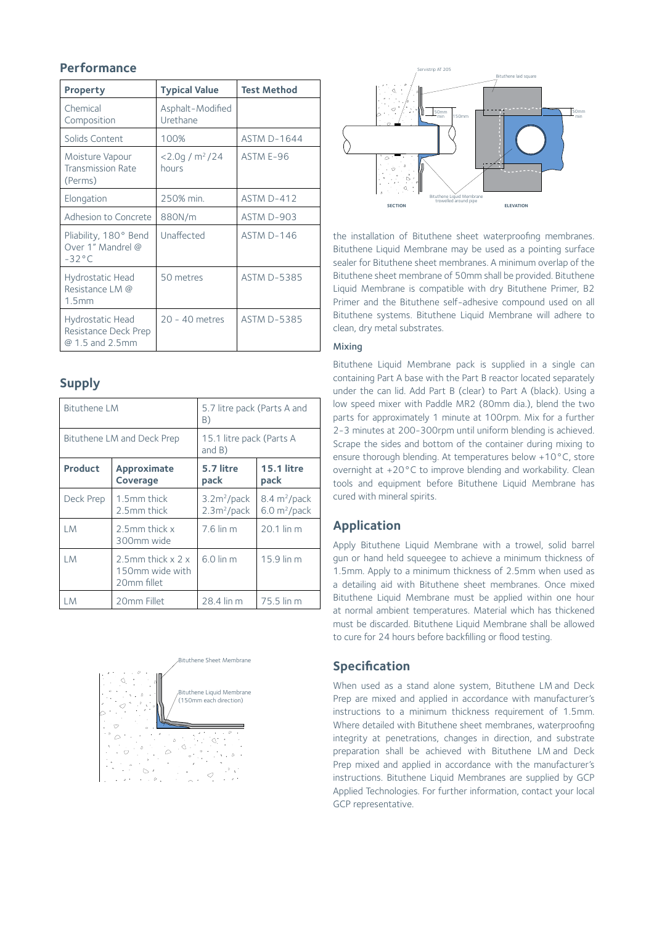## **Performance**

| <b>Property</b>                                               | <b>Typical Value</b>                   | <b>Test Method</b> |
|---------------------------------------------------------------|----------------------------------------|--------------------|
| Chemical<br>Composition                                       | Asphalt-Modified<br>Urethane           |                    |
| Solids Content                                                | 100%                                   | <b>ASTM D-1644</b> |
| Moisture Vapour<br><b>Transmission Rate</b><br>(Perms)        | $<$ 2.0g / m <sup>2</sup> /24<br>hours | ASTM E-96          |
| Elongation                                                    | 250% min.                              | ASTM D-412         |
| Adhesion to Concrete                                          | 880N/m                                 | ASTM D-903         |
| Pliability, 180° Bend<br>Over 1" Mandrel @<br>$-32^{\circ}$ C | Unaffected                             | ASTM D-146         |
| Hydrostatic Head<br>Resistance LM @<br>1.5mm                  | 50 metres                              | <b>ASTM D-5385</b> |
| Hydrostatic Head<br>Resistance Deck Prep<br>@ 1.5 and 2.5mm   | $20 - 40$ metres                       | <b>ASTM D-5385</b> |

## **Supply**

| <b>Bituthene LM</b>        |                                                         | 5.7 litre pack (Parts A and<br>B)         |                                                          |  |
|----------------------------|---------------------------------------------------------|-------------------------------------------|----------------------------------------------------------|--|
| Bituthene LM and Deck Prep |                                                         | 15.1 litre pack (Parts A<br>and B)        |                                                          |  |
| Product                    | <b>Approximate</b><br>Coverage                          | 5.7 litre<br>pack                         | <b>15.1 litre</b><br>pack                                |  |
| Deck Prep                  | 1.5mm thick<br>2.5mm thick                              | $3.2m^2$ /pack<br>2.3m <sup>2</sup> /pack | $8.4 \text{ m}^2/\text{pack}$<br>$6.0 \text{ m}^2$ /pack |  |
| LM                         | 2.5mm thick x<br>300mm wide                             | $7.6$ lin m                               | 20.1 lin m                                               |  |
| I M                        | 2.5mm thick $x$ 2 $x$<br>150mm wide with<br>20mm fillet | $6.0$ lin m                               | 15.9 lin m                                               |  |
| LM                         | 20mm Fillet                                             | 28.4 lin m                                | 75.5 lin m                                               |  |





the installation of Bituthene sheet waterproofing membranes. Bituthene Liquid Membrane may be used as a pointing surface sealer for Bituthene sheet membranes. A minimum overlap of the Bituthene sheet membrane of 50mm shall be provided. Bituthene Liquid Membrane is compatible with dry Bituthene Primer, B2 Primer and the Bituthene self-adhesive compound used on all Bituthene systems. Bituthene Liquid Membrane will adhere to clean, dry metal substrates.

#### Mixing

Bituthene Liquid Membrane pack is supplied in a single can containing Part A base with the Part B reactor located separately under the can lid. Add Part B (clear) to Part A (black). Using a low speed mixer with Paddle MR2 (80mm dia.), blend the two parts for approximately 1 minute at 100rpm. Mix for a further 2-3 minutes at 200-300rpm until uniform blending is achieved. Scrape the sides and bottom of the container during mixing to ensure thorough blending. At temperatures below +10°C, store overnight at +20°C to improve blending and workability. Clean tools and equipment before Bituthene Liquid Membrane has cured with mineral spirits.

## **Application**

Apply Bituthene Liquid Membrane with a trowel, solid barrel gun or hand held squeegee to achieve a minimum thickness of 1.5mm. Apply to a minimum thickness of 2.5mm when used as a detailing aid with Bituthene sheet membranes. Once mixed Bituthene Liquid Membrane must be applied within one hour at normal ambient temperatures. Material which has thickened must be discarded. Bituthene Liquid Membrane shall be allowed to cure for 24 hours before backfilling or flood testing.

## **Specification**

When used as a stand alone system, Bituthene LM and Deck Prep are mixed and applied in accordance with manufacturer's instructions to a minimum thickness requirement of 1.5mm. Where detailed with Bituthene sheet membranes, waterproofing integrity at penetrations, changes in direction, and substrate preparation shall be achieved with Bituthene LM and Deck Prep mixed and applied in accordance with the manufacturer's instructions. Bituthene Liquid Membranes are supplied by GCP Applied Technologies. For further information, contact your local GCP representative.